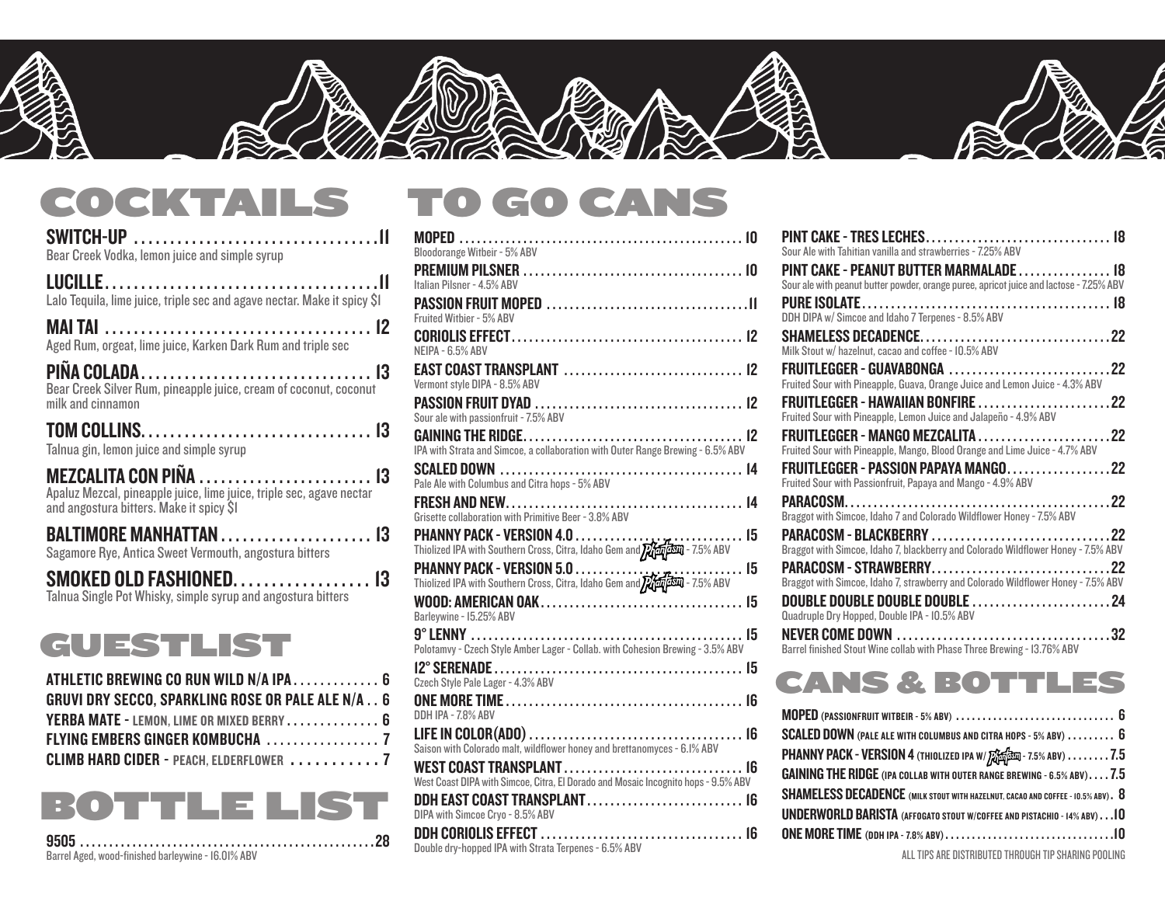

#### COCKTAILS TO GO CANS

| <b>SWITCH-UP</b><br>Bear Creek Vodka, lemon juice and simple syrup                                               | <b>Bloodorange Witbeir - 5% ABV</b>                                                                             | Sour Ale with Tahitian vanilla and strawberries - 7.25% ABV                                                                            |      |
|------------------------------------------------------------------------------------------------------------------|-----------------------------------------------------------------------------------------------------------------|----------------------------------------------------------------------------------------------------------------------------------------|------|
|                                                                                                                  | Italian Pilsner - 4.5% ABV                                                                                      | <b>PINT CAKE - PEANUT BUTTER MARMALADE.</b><br>Sour ale with peanut butter powder, orange puree, apricot juice and lactose - 7.25% ABV |      |
| Lalo Tequila, lime juice, triple sec and agave nectar. Make it spicy \$I                                         | Fruited Witbier - 5% ABV                                                                                        | DDH DIPA w/ Simcoe and Idaho 7 Terpenes - 8.5% ABV                                                                                     |      |
| Aged Rum, orgeat, lime juice, Karken Dark Rum and triple sec                                                     | NEIPA - 6.5% ABV                                                                                                | SHAMELESS DECADENCE<br>Milk Stout w/ hazelnut, cacao and coffee - 10.5% ABV                                                            | .22  |
| <b>PIÑA COLADA</b><br>Bear Creek Silver Rum, pineapple juice, cream of coconut, coconut                          | Vermont style DIPA - 8.5% ABV                                                                                   | Fruited Sour with Pineapple, Guava, Orange Juice and Lemon Juice - 4.3% ABV                                                            |      |
| milk and cinnamon                                                                                                | Sour ale with passionfruit - 7.5% ABV                                                                           | Fruited Sour with Pineapple, Lemon Juice and Jalapeño - 4.9% ABV                                                                       | . 22 |
| Talnua gin, lemon juice and simple syrup                                                                         | IPA with Strata and Simcoe, a collaboration with Outer Range Brewing - 6.5% ABV                                 | Fruited Sour with Pineapple, Mango, Blood Orange and Lime Juice - 4.7% ABV                                                             | . 22 |
| MEZCALITA CON PIÑA  13                                                                                           | Pale Ale with Columbus and Citra hops - 5% ABV                                                                  | FRUITLEGGER - PASSION PAPAYA MANGO<br>Fruited Sour with Passionfruit, Papaya and Mango - 4.9% ABV                                      | .22  |
| Apaluz Mezcal, pineapple juice, lime juice, triple sec, agave nectar<br>and angostura bitters. Make it spicy \$1 | Grisette collaboration with Primitive Beer - 3.8% ABV                                                           | Braggot with Simcoe, Idaho 7 and Colorado Wildflower Honey - 7.5% ABV                                                                  | .22  |
| Sagamore Rye, Antica Sweet Vermouth, angostura bitters                                                           | Thiolized IPA with Southern Cross, Citra, Idaho Gem and 22 1991 - 7.5% ABV                                      | Braggot with Simcoe, Idaho 7, blackberry and Colorado Wildflower Honey - 7.5% ABV                                                      | .22  |
| SMOKED OLD FASHIONED. 13                                                                                         | PHANNY PACK - VERSION 5.0<br>. 15<br>Thiolized IPA with Southern Cross, Citra, Idaho Gem and 22 1940 - 7.5% ABV | PARACOSM - STRAWBERRY<br>Braggot with Simcoe, Idaho 7, strawberry and Colorado Wildflower Honey - 7.5% ABV                             |      |
| Talnua Single Pot Whisky, simple syrup and angostura bitters                                                     | Barleywine - 15.25% ABV                                                                                         | Quadruple Dry Hopped, Double IPA - 10.5% ABV                                                                                           |      |
| GUESTLIST                                                                                                        | Polotamvy - Czech Style Amber Lager - Collab. with Cohesion Brewing - 3.5% ABV                                  | Barrel finished Stout Wine collab with Phase Three Brewing - 13.76% ABV                                                                |      |
| ATHLETIC BREWING CO RUN WILD N/A IPA 6                                                                           | Czech Style Pale Lager - 4.3% ABV                                                                               | CANS & BOTT                                                                                                                            |      |
| <b>GRUVI DRY SECCO, SPARKLING ROSE OR PALE ALE N/A 6</b>                                                         | <b>ONE MORE TIME</b>                                                                                            |                                                                                                                                        |      |

| <b>GRUVI DRY SECCO, SPARKLING ROSE OR PALE ALE N/A 6</b> |  |
|----------------------------------------------------------|--|
| YERBA MATE - LEMON. LIME OR MIXED BERRY 6                |  |
|                                                          |  |
| <b>CLIMB HARD CIDER - PEACH. ELDERFLOWER</b> 7           |  |

## BOTTLE LIST

9505 . . . . . . . . . . . . . . . . . . . . . . . . . . . . . . . . . . . . . . . . . . . . . . . . . . 28 Barrel Aged, wood-finished barleywine - 16.01% ABV

#### MOPED . . . . . . . . . . . . . . . . . . . . . . . . . . . . . . . . . . . . . . . . . . . . . . . . . 10 Bloodorange Witbeir - 5% ABV PREMIUM PILSNER . . . . . . . . . . . . . . . . . . . . . . . . . . . . . . . . . . . . . . 10 Italian Pilsner - 4.5% ABV PASSION FRUIT MOPED . . . . . . . . . . . . . . . . . . . . . . . . . . . . . . . . . . 11 Fruited Witbier - 5% ABV CORIOLIS EFFECT . . . . . . . . . . . . . . . . . . . . . . . . . . . . . . . . . . . . . . . . 12 NEIPA - 6.5% ABV EAST COAST TRANSPLANT . . . . . . . . . . . . . . . . . . . . . . . . . . . . . . . 12 Vermont style DIPA - 8.5% ABV PASSION FRUIT DYAD . . . . . . . . . . . . . . . . . . . . . . . . . . . . . . . . . . . . 12 Sour ale with passionfruit - 7.5% ABV GAINING THE RIDGE . . . . . . . . . . . . . . . . . . . . . . . . . . . . . . . . . . . . . . 12 IPA with Strata and Simcoe, a collaboration with Outer Range Brewing - 6.5% ABV SCALED DOWN . . . . . . . . . . . . . . . . . . . . . . . . . . . . . . . . . . . . . . . . . . 14 Pale Ale with Columbus and Citra hops - 5% ABV FRESH AND NEW . . . . . . . . . . . . . . . . . . . . . . . . . . . . . . . . . . . . . . . . . 14 Grisette collaboration with Primitive Beer - 3.8% ABV PHANNY PACK - VERSION 4.0 . . . . . . . . . . . . . . . . . . . . . . . . . . . . . 15 Thiolized IPA with Southern Cross, Citra, Idaho Gem and **72 of PSM** - 7.5% ABV PHANNY PACK - VERSION 5.0 . . . . . . . . . . . . . . . . . . . . . . . . . . . . . 15 Thiolized IPA with Southern Cross, Citra, Idaho Gem and 200 050 - 7.5% ABV WOOD: AMERICAN OAK . . . . . . . . . . . . . . . . . . . . . . . . . . . . . . . . . . . 15 Barleywine - 15.25% ABV Polotamvy - Czech Style Amber Lager - Collab. with Cohesion Brewing - 3.5% ABV 12° SERENADE . . . . . . . . . . . . . . . . . . . . . . . . . . . . . . . . . . . . . . . . . . . 15 Czech Style Pale Lager - 4.3% ABV ONE MORE TIME . . . . . . . . . . . . . . . . . . . . . . . . . . . . . . . . . . . . . . . . . 16 DDH IPA - 7.8% ABV LIFE IN COLOR(ADO) . . . . . . . . . . . . . . . . . . . . . . . . . . . . . . . . . . . . . 16 Saison with Colorado malt, wildflower honey and brettanomyces - 6.1% ABV WEST COAST TRANSPLANT . . . . . . . . . . . . . . . . . . . . . . . . . . . . . . . 16 West Coast DIPA with Simcoe, Citra, El Dorado and Mosaic Incognito hops - 9.5% ABV DDH EAST COAST TRANSPLANT . . . . . . . . . . . . . . . . . . . . . . . . . . . 16 DIPA with Simcoe Cryo - 8.5% ABV DDH CORIOLIS EFFECT . . . . . . . . . . . . . . . . . . . . . . . . . . . . . . . . . . . 16 Double dry-hopped IPA with Strata Terpenes - 6.5% ABV

| Sour Ale with Tahitian vanilla and strawberries - 7.25% ABV                             |
|-----------------------------------------------------------------------------------------|
| PINT CAKE - PEANUT BUTTER MARMALADE 18                                                  |
| Sour ale with peanut butter powder, orange puree, apricot juice and lactose - 7.25% ABV |
|                                                                                         |
| DDH DIPA w/ Simcoe and Idaho 7 Terpenes - 8.5% ABV                                      |
|                                                                                         |
| Milk Stout w/ hazelnut, cacao and coffee - 10.5% ABV                                    |
|                                                                                         |
| Fruited Sour with Pineapple, Guava, Orange Juice and Lemon Juice - 4.3% ABV             |
| FRUITLEGGER - HAWAIIAN BONFIRE 22                                                       |
| Fruited Sour with Pineapple, Lemon Juice and Jalapeño - 4.9% ABV                        |
|                                                                                         |
| Fruited Sour with Pineapple, Mango, Blood Orange and Lime Juice - 4.7% ABV              |
| FRUITLEGGER - PASSION PAPAYA MANGO22                                                    |
| Fruited Sour with Passionfruit, Papaya and Mango - 4.9% ABV                             |
|                                                                                         |
| Braggot with Simcoe, Idaho 7 and Colorado Wildflower Honey - 7.5% ABV                   |
|                                                                                         |
| Braggot with Simcoe, Idaho 7, blackberry and Colorado Wildflower Honey - 7.5% ABV       |
|                                                                                         |
| Braggot with Simcoe, Idaho 7, strawberry and Colorado Wildflower Honey - 7.5% ABV       |
|                                                                                         |
| Quadruple Dry Hopped, Double IPA - 10.5% ABV                                            |
|                                                                                         |
| Barrel finished Stout Wine collab with Phase Three Brewing - I3.76% ABV                 |
|                                                                                         |

#### CANS & BOTTLES

| SCALED DOWN (PALE ALE WITH COLUMBUS AND CITRA HOPS - 5% ABV) 6                  |
|---------------------------------------------------------------------------------|
| PHANNY PACK - VERSION 4 (THIOLIZED IPA W/ Rand - 7.5% ABV) 7.5                  |
| <b>GAINING THE RIDGE</b> (IPA COLLAB WITH OUTER RANGE BREWING - 6.5% ABV) 7.5   |
| SHAMELESS DECADENCE (MILK STOUT WITH HAZELNUT, CACAO AND COFFEE - 10.5% ABV). 8 |
| UNDERWORLD BARISTA (AFFOGATO STOUT W/COFFEE AND PISTACHIO - 14% ABV) 10         |
|                                                                                 |
|                                                                                 |

ALL TIPS ARE DISTRIBUTED THROUGH TIP SHARING POOLING